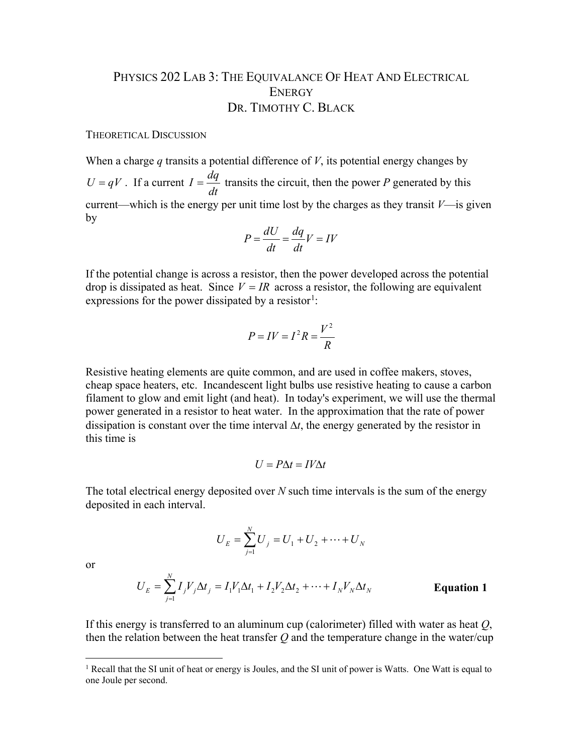## PHYSICS 202 LAB 3: THE EQUIVALANCE OF HEAT AND ELECTRICAL **ENERGY** DR. TIMOTHY C. BLACK

## THEORETICAL DISCUSSION

When a charge *q* transits a potential difference of *V*, its potential energy changes by  $U = qV$ . If a current *dt*  $I = \frac{dq}{I}$  transits the circuit, then the power *P* generated by this current—which is the energy per unit time lost by the charges as they transit  $V$ —is given by

$$
P = \frac{dU}{dt} = \frac{dq}{dt}V = IV
$$

If the potential change is across a resistor, then the power developed across the potential drop is dissipated as heat. Since  $V = IR$  across a resistor, the following are equivalent expressions for the power dissipated by a resistor<sup>[1](#page-0-0)</sup>:

$$
P = IV = I^2 R = \frac{V^2}{R}
$$

Resistive heating elements are quite common, and are used in coffee makers, stoves, cheap space heaters, etc. Incandescent light bulbs use resistive heating to cause a carbon filament to glow and emit light (and heat). In today's experiment, we will use the thermal power generated in a resistor to heat water. In the approximation that the rate of power dissipation is constant over the time interval ∆*t*, the energy generated by the resistor in this time is

$$
U = P\Delta t = IV\Delta t
$$

The total electrical energy deposited over *N* such time intervals is the sum of the energy deposited in each interval.

$$
U_E = \sum_{j=1}^{N} U_j = U_1 + U_2 + \dots + U_N
$$

or

$$
U_E = \sum_{j=1}^{N} I_j V_j \Delta t_j = I_1 V_1 \Delta t_1 + I_2 V_2 \Delta t_2 + \dots + I_N V_N \Delta t_N
$$
 **Equation 1**

If this energy is transferred to an aluminum cup (calorimeter) filled with water as heat *Q*, then the relation between the heat transfer *Q* and the temperature change in the water/cup

<span id="page-0-0"></span><sup>&</sup>lt;sup>1</sup> Recall that the SI unit of heat or energy is Joules, and the SI unit of power is Watts. One Watt is equal to one Joule per second.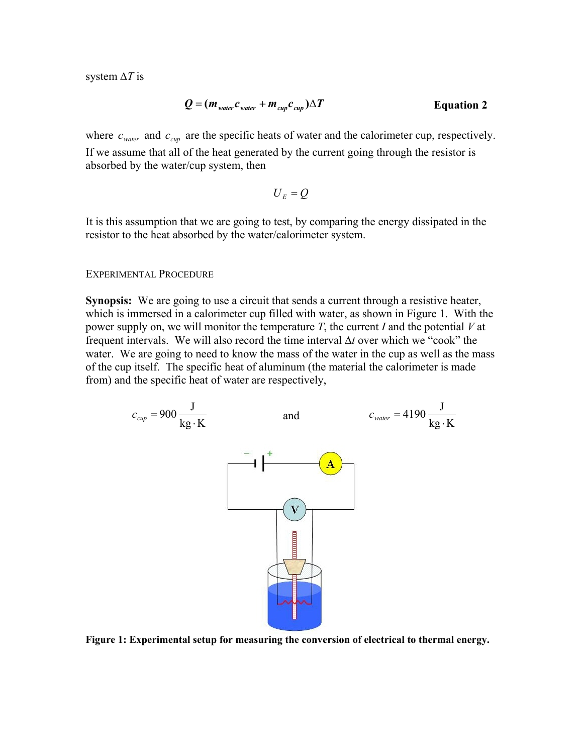system ∆*T* is

$$
Q = (m_{\text{water}}c_{\text{water}} + m_{\text{cup}}c_{\text{cup}})\Delta T
$$
 Equation 2

where  $c_{\text{water}}$  and  $c_{\text{cun}}$  are the specific heats of water and the calorimeter cup, respectively. If we assume that all of the heat generated by the current going through the resistor is absorbed by the water/cup system, then

$$
U_{\scriptscriptstyle E} = Q
$$

It is this assumption that we are going to test, by comparing the energy dissipated in the resistor to the heat absorbed by the water/calorimeter system.

## EXPERIMENTAL PROCEDURE

**Synopsis:** We are going to use a circuit that sends a current through a resistive heater, which is immersed in a calorimeter cup filled with water, as shown in Figure 1. With the power supply on, we will monitor the temperature *T*, the current *I* and the potential *V* at frequent intervals. We will also record the time interval ∆*t* over which we "cook" the water. We are going to need to know the mass of the water in the cup as well as the mass of the cup itself. The specific heat of aluminum (the material the calorimeter is made from) and the specific heat of water are respectively,



**Figure 1: Experimental setup for measuring the conversion of electrical to thermal energy.**